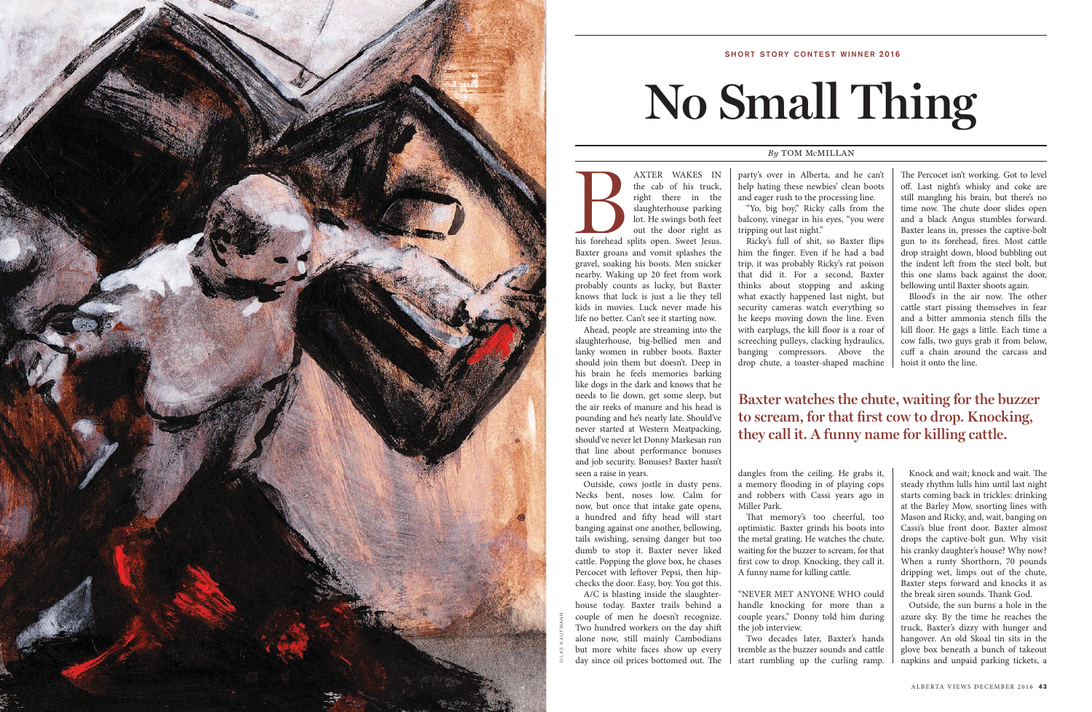AXTER WAKES IN<br>
the cab of his truck,<br>
right there in the<br>
slaughterhouse parking<br>
lot. He swings both feet<br>
out the door right as<br>
his forehead splits open. Sweet Jesus. the cab of his truck, right there in the slaughterhouse parking lot. He swings both feet out the door right as Baxter groans and vomit splashes the gravel, soaking his boots. Men snicker nearby. Waking up 20 feet from work probably counts as lucky, but Baxter knows that luck is just a lie they tell kids in movies. Luck never made his life no better. Can't see it starting now.

Ahead, people are streaming into the slaughterhouse, big-bellied men and lanky women in rubber boots. Baxter should join them but doesn't. Deep in his brain he feels memories barking like dogs in the dark and knows that he needs to lie down, get some sleep, but the air reeks of manure and his head is pounding and he's nearly late. Should've never started at Western Meatpacking, should've never let Donny Markesan run that line about performance bonuses and job security. Bonuses? Baxter hasn't seen a raise in years.

Outside, cows jostle in dusty pens. Necks bent, noses low. Calm for now, but once that intake gate opens, a hundred and fifty head will start banging against one another, bellowing, tails swishing, sensing danger but too dumb to stop it. Baxter never liked cattle. Popping the glove box, he chases Percocet with leftover Pepsi, then hipchecks the door. Easy, boy. You got this.

A/C is blasting inside the slaughterhouse today. Baxter trails behind a couple of men he doesn't recognize. Two hundred workers on the day shift alone now, still mainly Cambodians but more white faces show up every day since oil prices bottomed out. The

party's over in Alberta, and he can't help hating these newbies' clean boots and eager rush to the processing line. "Yo, big boy," Ricky calls from the balcony, vinegar in his eyes, "you were tripping out last night."

Ricky's full of shit, so Baxter flips him the finger. Even if he had a bad trip, it was probably Ricky's rat poison that did it. For a second, Baxter thinks about stopping and asking what exactly happened last night, but security cameras watch everything so he keeps moving down the line. Even with earplugs, the kill floor is a roar of screeching pulleys, clacking hydraulics, banging compressors. Above the drop chute, a toaster-shaped machine

dangles from the ceiling. He grabs it, a memory flooding in of playing cops and robbers with Cassi years ago in Miller Park.

That memory's too cheerful, too optimistic. Baxter grinds his boots into the metal grating. He watches the chute, waiting for the buzzer to scream, for that first cow to drop. Knocking, they call it. A funny name for killing cattle.

"NEVER MET ANYONE WHO could handle knocking for more than a couple years," Donny told him during the job interview.

Two decades later, Baxter's hands tremble as the buzzer sounds and cattle start rumbling up the curling ramp.

The Percocet isn't working. Got to level off. Last night's whisky and coke are still mangling his brain, but there's no time now. The chute door slides open and a black Angus stumbles forward. Baxter leans in, presses the captive-bolt gun to its forehead, fires. Most cattle drop straight down, blood bubbling out the indent left from the steel bolt, but this one slams back against the door, bellowing until Baxter shoots again.

Blood's in the air now. The other cattle start pissing themselves in fear and a bitter ammonia stench fills the kill floor. He gags a little. Each time a cow falls, two guys grab it from below, cuff a chain around the carcass and hoist it onto the line.

Knock and wait; knock and wait. The steady rhythm lulls him until last night starts coming back in trickles: drinking at the Barley Mow, snorting lines with Mason and Ricky, and, wait, banging on Cassi's blue front door. Baxter almost drops the captive-bolt gun. Why visit his cranky daughter's house? Why now? When a runty Shorthorn, 70 pounds dripping wet, limps out of the chute, Baxter steps forward and knocks it as the break siren sounds. Thank God.

Outside, the sun burns a hole in the azure sky. By the time he reaches the truck, Baxter's dizzy with hunger and hangover. An old Skoal tin sits in the glove box beneath a bunch of takeout napkins and unpaid parking tickets, a

# **No Small Thing**

## *By* TOM M CMILLAN



## SHORT STORY CONTEST WINNER 2016

# **Baxter watches the chute, waiting for the buzzer to scream, for that first cow to drop. Knocking, they call it. A funny name for killing cattle.**